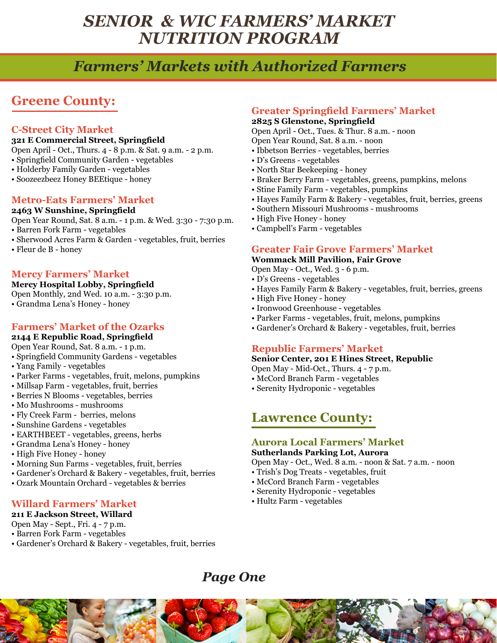# *Farmers' Markets with Authorized Farmers*

## **Greene County:**

#### **C-Street City Market**

#### **321 E Commercial Street, Springfield**

Open April - Oct., Thurs. 4 - 8 p.m. & Sat. 9 a.m. - 2 p.m.

- Springfield Community Garden vegetables
- Holderby Family Garden vegetables
- Soozeezbeez Honey BEEtique honey

#### **Metro-Eats Farmers' Market**

#### **2463 W Sunshine, Springfield**

Open Year Round, Sat. 8 a.m. - 1 p.m. & Wed. 3:30 - 7:30 p.m.

- Barren Fork Farm vegetables
- Sherwood Acres Farm & Garden vegetables, fruit, berries
- Fleur de B honey

#### **Mercy Farmers' Market**

#### **Mercy Hospital Lobby, Springfield**

Open Monthly, 2nd Wed. 10 a.m. - 3:30 p.m. • Grandma Lena's Honey - honey

#### **Farmers' Market of the Ozarks**

#### **2144 E Republic Road, Springfield**

Open Year Round, Sat. 8 a.m. - 1 p.m.

- Springfield Community Gardens vegetables
- Yang Family vegetables
- Parker Farms vegetables, fruit, melons, pumpkins
- Millsap Farm vegetables, fruit, berries
- Berries N Blooms vegetables, berries
- Mo Mushrooms mushrooms
- Fly Creek Farm berries, melons
- Sunshine Gardens vegetables
- EARTHBEET vegetables, greens, herbs
- Grandma Lena's Honey honey
- High Five Honey honey
- Morning Sun Farms vegetables, fruit, berries
- Gardener's Orchard & Bakery vegetables, fruit, berries
- Ozark Mountain Orchard vegetables & berries

#### **Willard Farmers' Market**

#### **211 E Jackson Street, Willard**

- Open May Sept., Fri. 4 7 p.m.
- Barren Fork Farm vegetables
- Gardener's Orchard & Bakery vegetables, fruit, berries

### **Greater Springfield Farmers' Market**

### **2825 S Glenstone, Springfield**

Open April - Oct., Tues. & Thur. 8 a.m. - noon

Open Year Round, Sat. 8 a.m. - noon

- Ibbetson Berries vegetables, berries
- D's Greens vegetables
- North Star Beekeeping honey
- Braker Berry Farm vegetables, greens, pumpkins, melons
- Stine Family Farm vegetables, pumpkins
- Hayes Family Farm & Bakery vegetables, fruit, berries, greens
- Southern Missouri Mushrooms mushrooms
- High Five Honey honey
- Campbell's Farm vegetables

#### **Greater Fair Grove Farmers' Market**

#### **Wommack Mill Pavilion, Fair Grove**

- Open May Oct., Wed. 3 6 p.m.
- D's Greens vegetables
- Hayes Family Farm & Bakery vegetables, fruit, berries, greens
- High Five Honey honey
- Ironwood Greenhouse vegetables
- Parker Farms vegetables, fruit, melons, pumpkins
- Gardener's Orchard & Bakery vegetables, fruit, berries

#### **Republic Farmers' Market**

#### **Senior Center, 201 E Hines Street, Republic**

- Open May Mid-Oct., Thurs. 4 7 p.m.
- McCord Branch Farm vegetables
- Serenity Hydroponic vegetables

### **Lawrence County:**

## **Aurora Local Farmers' Market**

### **Sutherlands Parking Lot, Aurora**

Open May - Oct., Wed. 8 a.m. - noon & Sat. 7 a.m. - noon

- Trish's Dog Treats vegetables, fruit
- McCord Branch Farm vegetables
- Serenity Hydroponic vegetables
- Hultz Farm vegetables

### *Page One*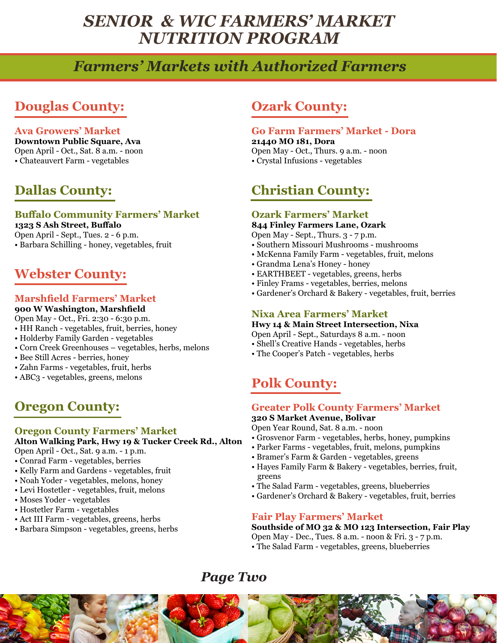# *Farmers' Markets with Authorized Farmers*

## **Douglas County:**

#### **Ava Growers' Market**

**Downtown Public Square, Ava** Open April - Oct., Sat. 8 a.m. - noon • Chateauvert Farm - vegetables

## **Dallas County:**

### **Buffalo Community Farmers' Market**

**1323 S Ash Street, Buffalo** Open April - Sept., Tues. 2 - 6 p.m. • Barbara Schilling - honey, vegetables, fruit

### **Webster County:**

#### **Marshfield Farmers' Market**

#### **900 W Washington, Marshfield**

- Open May Oct., Fri. 2:30 6:30 p.m.
- HH Ranch vegetables, fruit, berries, honey
- Holderby Family Garden vegetables
- Corn Creek Greenhouses vegetables, herbs, melons
- Bee Still Acres berries, honey
- Zahn Farms vegetables, fruit, herbs
- ABC3 vegetables, greens, melons

### **Oregon County:**

#### **Oregon County Farmers' Market**

**Alton Walking Park, Hwy 19 & Tucker Creek Rd., Alton**

- Open April Oct., Sat. 9 a.m. 1 p.m.
- Conrad Farm vegetables, berries
- Kelly Farm and Gardens vegetables, fruit
- Noah Yoder vegetables, melons, honey
- Levi Hostetler vegetables, fruit, melons
- Moses Yoder vegetables
- Hostetler Farm vegetables
- Act III Farm vegetables, greens, herbs
- Barbara Simpson vegetables, greens, herbs

### **Ozark County:**

#### **Go Farm Farmers' Market - Dora 21440 MO 181, Dora** Open May - Oct., Thurs. 9 a.m. - noon • Crystal Infusions - vegetables

## **Christian County:**

### **Ozark Farmers' Market**

**844 Finley Farmers Lane, Ozark**

- Open May Sept., Thurs. 3 7 p.m.
- Southern Missouri Mushrooms mushrooms
- McKenna Family Farm vegetables, fruit, melons
- Grandma Lena's Honey honey
- EARTHBEET vegetables, greens, herbs
- Finley Frams vegetables, berries, melons
- Gardener's Orchard & Bakery vegetables, fruit, berries

#### **Nixa Area Farmers' Market**

#### **Hwy 14 & Main Street Intersection, Nixa**

Open April - Sept., Saturdays 8 a.m. - noon

- Shell's Creative Hands vegetables, herbs
- The Cooper's Patch vegetables, herbs

## **Polk County:**

#### **Greater Polk County Farmers' Market**

#### **320 S Market Avenue, Bolivar**

Open Year Round, Sat. 8 a.m. - noon

- Grosvenor Farm vegetables, herbs, honey, pumpkins
- Parker Farms vegetables, fruit, melons, pumpkins
- Bramer's Farm & Garden vegetables, greens
- Hayes Family Farm & Bakery vegetables, berries, fruit, greens
- The Salad Farm vegetables, greens, blueberries
- Gardener's Orchard & Bakery vegetables, fruit, berries

#### **Fair Play Farmers' Market**

#### **Southside of MO 32 & MO 123 Intersection, Fair Play**

Open May - Dec., Tues. 8 a.m. - noon & Fri. 3 - 7 p.m. • The Salad Farm - vegetables, greens, blueberries

### *Page Two*

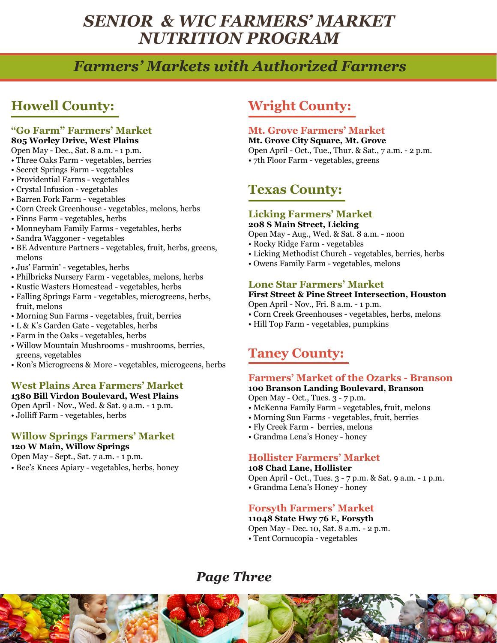# *Farmers' Markets with Authorized Farmers*

# **Howell County:**

### **"Go Farm" Farmers' Market**

### **805 Worley Drive, West Plains**

Open May - Dec., Sat. 8 a.m. - 1 p.m.

- Three Oaks Farm vegetables, berries
- Secret Springs Farm vegetables
- Providential Farms vegetables
- Crystal Infusion vegetables
- Barren Fork Farm vegetables
- Corn Creek Greenhouse vegetables, melons, herbs
- Finns Farm vegetables, herbs
- Monneyham Family Farms vegetables, herbs
- Sandra Waggoner vegetables
- BE Adventure Partners vegetables, fruit, herbs, greens, melons
- Jus' Farmin' vegetables, herbs
- Philbricks Nursery Farm vegetables, melons, herbs
- Rustic Wasters Homestead vegetables, herbs
- Falling Springs Farm vegetables, microgreens, herbs, fruit, melons
- Morning Sun Farms vegetables, fruit, berries
- L & K's Garden Gate vegetables, herbs
- Farm in the Oaks vegetables, herbs
- Willow Mountain Mushrooms mushrooms, berries, greens, vegetables
- Ron's Microgreens & More vegetables, microgeens, herbs

#### **West Plains Area Farmers' Market 1380 Bill Virdon Boulevard, West Plains**

Open April - Nov., Wed. & Sat. 9 a.m. - 1 p.m. • Jolliff Farm - vegetables, herbs

#### **Willow Springs Farmers' Market 120 W Main, Willow Springs**

Open May - Sept., Sat. 7 a.m. - 1 p.m.

• Bee's Knees Apiary - vegetables, herbs, honey

### **Wright County:**

#### **Mt. Grove Farmers' Market**

**Mt. Grove City Square, Mt. Grove**  Open April - Oct., Tue., Thur. & Sat., 7 a.m. - 2 p.m. • 7th Floor Farm - vegetables, greens

## **Texas County:**

#### **Licking Farmers' Market 208 S Main Street, Licking**

Open May - Aug., Wed. & Sat. 8 a.m. - noon

- Rocky Ridge Farm vegetables
- Licking Methodist Church vegetables, berries, herbs
- Owens Family Farm vegetables, melons

#### **Lone Star Farmers' Market**

**First Street & Pine Street Intersection, Houston** Open April - Nov., Fri. 8 a.m. - 1 p.m.

- Corn Creek Greenhouses vegetables, herbs, melons
- Hill Top Farm vegetables, pumpkins

## **Taney County:**

#### **Farmers' Market of the Ozarks - Branson**

**100 Branson Landing Boulevard, Branson**

Open May - Oct., Tues. 3 - 7 p.m.

- McKenna Family Farm vegetables, fruit, melons
- Morning Sun Farms vegetables, fruit, berries
- Fly Creek Farm berries, melons
- Grandma Lena's Honey honey

#### **Hollister Farmers' Market**

#### **108 Chad Lane, Hollister**

Open April - Oct., Tues. 3 - 7 p.m. & Sat. 9 a.m. - 1 p.m.

• Grandma Lena's Honey - honey

### **Forsyth Farmers' Market**

#### **11048 State Hwy 76 E, Forsyth**

Open May - Dec. 10, Sat. 8 a.m. - 2 p.m. • Tent Cornucopia - vegetables

## *Page Three*